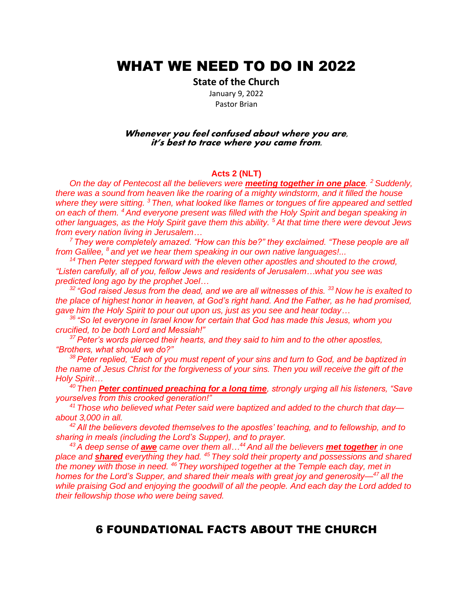# WHAT WE NEED TO DO IN 2022

**State of the Church**

January 9, 2022 Pastor Brian

#### **Whenever you feel confused about where you are, it's best to trace where you came from.**

#### **Acts 2 (NLT)**

*On the day of Pentecost all the believers were meeting together in one place. <sup>2</sup> Suddenly, there was a sound from heaven like the roaring of a mighty windstorm, and it filled the house where they were sitting. <sup>3</sup> Then, what looked like flames or tongues of fire appeared and settled on each of them. <sup>4</sup> And everyone present was filled with the Holy Spirit and began speaking in other languages, as the Holy Spirit gave them this ability. <sup>5</sup> At that time there were devout Jews from every nation living in Jerusalem…*

*<sup>7</sup> They were completely amazed. "How can this be?" they exclaimed. "These people are all from Galilee, <sup>8</sup> and yet we hear them speaking in our own native languages!...*

<sup>14</sup> Then Peter stepped forward with the eleven other apostles and shouted to the crowd, *"Listen carefully, all of you, fellow Jews and residents of Jerusalem…what you see was predicted long ago by the prophet Joel…*

*<sup>32</sup> "God raised Jesus from the dead, and we are all witnesses of this. <sup>33</sup> Now he is exalted to the place of highest honor in heaven, at God's right hand. And the Father, as he had promised, gave him the Holy Spirit to pour out upon us, just as you see and hear today…*

*<sup>36</sup> "So let everyone in Israel know for certain that God has made this Jesus, whom you crucified, to be both Lord and Messiah!"* 

*<sup>37</sup> Peter's words pierced their hearts, and they said to him and to the other apostles, "Brothers, what should we do?"* 

*<sup>38</sup> Peter replied, "Each of you must repent of your sins and turn to God, and be baptized in the name of Jesus Christ for the forgiveness of your sins. Then you will receive the gift of the Holy Spirit…*

*<sup>40</sup> Then Peter continued preaching for a long time, strongly urging all his listeners, "Save yourselves from this crooked generation!"*

*<sup>41</sup> Those who believed what Peter said were baptized and added to the church that day about 3,000 in all.*

*<sup>42</sup> All the believers devoted themselves to the apostles' teaching, and to fellowship, and to sharing in meals (including the Lord's Supper), and to prayer.* 

*<sup>43</sup> A deep sense of awe came over them all…<sup>44</sup> And all the believers met together in one place and shared everything they had. <sup>45</sup> They sold their property and possessions and shared the money with those in need. <sup>46</sup> They worshiped together at the Temple each day, met in homes for the Lord's Supper, and shared their meals with great joy and generosity—<sup>47</sup> all the while praising God and enjoying the goodwill of all the people. And each day the Lord added to their fellowship those who were being saved.*

## 6 FOUNDATIONAL FACTS ABOUT THE CHURCH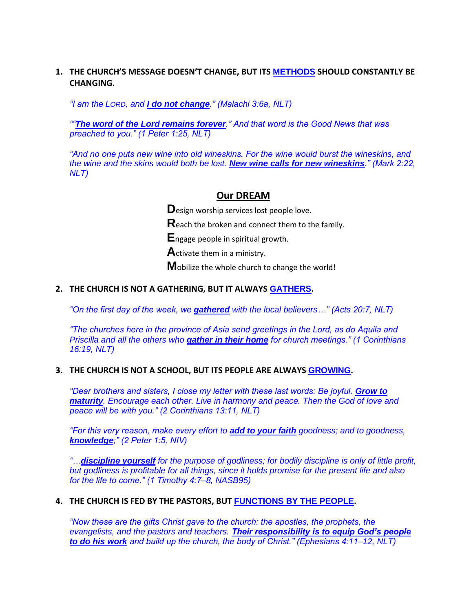## **1. THE CHURCH'S MESSAGE DOESN'T CHANGE, BUT ITS METHODS SHOULD CONSTANTLY BE CHANGING.**

*"I am the LORD, and I do not change." (Malachi 3:6a, NLT)* 

*""The word of the Lord remains forever." And that word is the Good News that was preached to you." (1 Peter 1:25, NLT)*

*"And no one puts new wine into old wineskins. For the wine would burst the wineskins, and the wine and the skins would both be lost. New wine calls for new wineskins." (Mark 2:22, NLT)*

#### **Our DREAM**

**D**esign worship services lost people love.

**R**each the broken and connect them to the family.

**E**ngage people in spiritual growth.

**A**ctivate them in a ministry.

**M**obilize the whole church to change the world!

## **2. THE CHURCH IS NOT A GATHERING, BUT IT ALWAYS GATHERS.**

*"On the first day of the week, we gathered with the local believers…" (Acts 20:7, NLT)* 

*"The churches here in the province of Asia send greetings in the Lord, as do Aquila and Priscilla and all the others who gather in their home for church meetings." (1 Corinthians 16:19, NLT)*

#### **3. THE CHURCH IS NOT A SCHOOL, BUT ITS PEOPLE ARE ALWAYS GROWING.**

*"Dear brothers and sisters, I close my letter with these last words: Be joyful. Grow to maturity. Encourage each other. Live in harmony and peace. Then the God of love and peace will be with you." (2 Corinthians 13:11, NLT)* 

*"For this very reason, make every effort to add to your faith goodness; and to goodness, knowledge;" (2 Peter 1:5, NIV)*

*"…discipline yourself for the purpose of godliness; for bodily discipline is only of little profit, but godliness is profitable for all things, since it holds promise for the present life and also for the life to come." (1 Timothy 4:7–8, NASB95)*

#### **4. THE CHURCH IS FED BY THE PASTORS, BUT FUNCTIONS BY THE PEOPLE.**

*"Now these are the gifts Christ gave to the church: the apostles, the prophets, the evangelists, and the pastors and teachers. Their responsibility is to equip God's people to do his work and build up the church, the body of Christ." (Ephesians 4:11–12, NLT)*